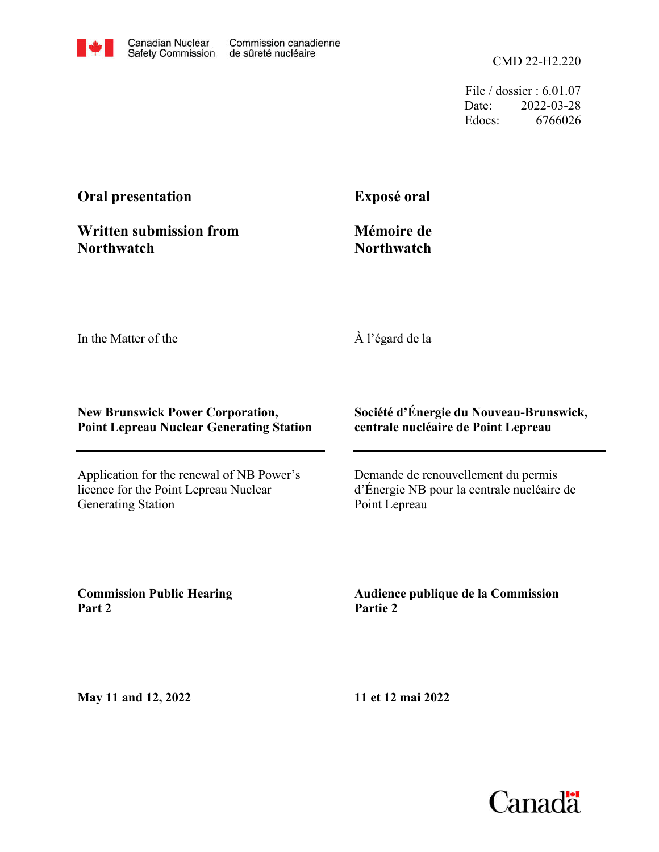

CMD 22-H2.220

File / dossier : 6.01.07 Date: 2022-03-28 Edocs: 6766026

# **Oral presentation**

**Exposé oral**

**Written submission from Northwatch**

**Mémoire de Northwatch**

In the Matter of the

À l'égard de la

#### **New Brunswick Power Corporation, Point Lepreau Nuclear Generating Station**

Application for the renewal of NB Power's licence for the Point Lepreau Nuclear Generating Station

#### **Société d'Énergie du Nouveau-Brunswick, centrale nucléaire de Point Lepreau**

Demande de renouvellement du permis d'Énergie NB pour la centrale nucléaire de Point Lepreau

**Commission Public Hearing Part 2**

**Audience publique de la Commission Partie 2**

**May 11 and 12, 2022**

**11 et 12 mai 2022**

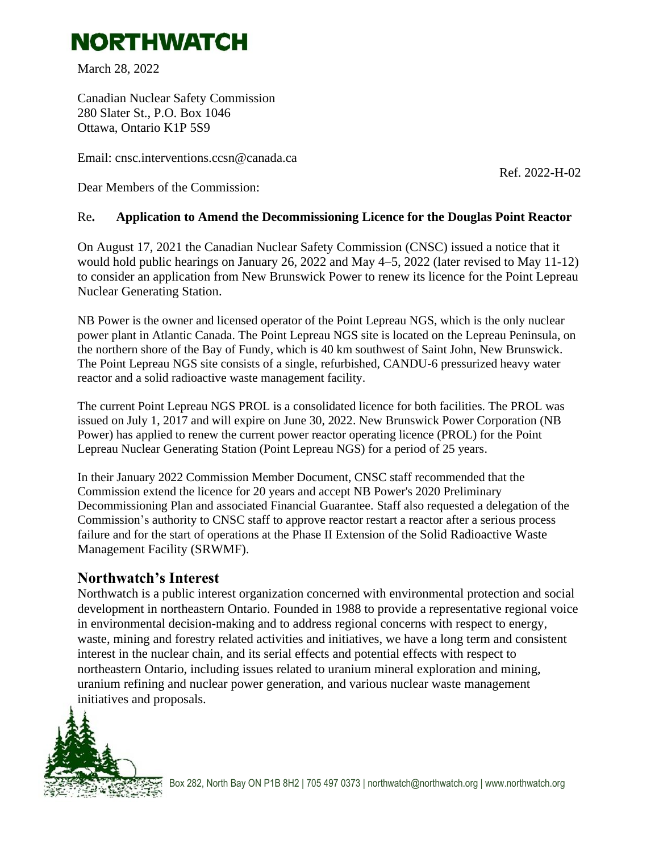# **NORTHWATCH**

March 28, 2022

Canadian Nuclear Safety Commission 280 Slater St., P.O. Box 1046 Ottawa, Ontario K1P 5S9

Email: cnsc.interventions.ccsn@canada.ca

Ref. 2022-H-02

Dear Members of the Commission:

#### Re**. Application to Amend the Decommissioning Licence for the Douglas Point Reactor**

On August 17, 2021 the Canadian Nuclear Safety Commission (CNSC) issued a notice that it would hold public hearings on January 26, 2022 and May 4–5, 2022 (later revised to May 11-12) to consider an application from New Brunswick Power to renew its licence for the Point Lepreau Nuclear Generating Station.

NB Power is the owner and licensed operator of the Point Lepreau NGS, which is the only nuclear power plant in Atlantic Canada. The Point Lepreau NGS site is located on the Lepreau Peninsula, on the northern shore of the Bay of Fundy, which is 40 km southwest of Saint John, New Brunswick. The Point Lepreau NGS site consists of a single, refurbished, CANDU-6 pressurized heavy water reactor and a solid radioactive waste management facility.

The current Point Lepreau NGS PROL is a consolidated licence for both facilities. The PROL was issued on July 1, 2017 and will expire on June 30, 2022. New Brunswick Power Corporation (NB Power) has applied to renew the current power reactor operating licence (PROL) for the Point Lepreau Nuclear Generating Station (Point Lepreau NGS) for a period of 25 years.

In their January 2022 Commission Member Document, CNSC staff recommended that the Commission extend the licence for 20 years and accept NB Power's 2020 Preliminary Decommissioning Plan and associated Financial Guarantee. Staff also requested a delegation of the Commission's authority to CNSC staff to approve reactor restart a reactor after a serious process failure and for the start of operations at the Phase II Extension of the Solid Radioactive Waste Management Facility (SRWMF).

## **Northwatch's Interest**

Northwatch is a public interest organization concerned with environmental protection and social development in northeastern Ontario. Founded in 1988 to provide a representative regional voice in environmental decision-making and to address regional concerns with respect to energy, waste, mining and forestry related activities and initiatives, we have a long term and consistent interest in the nuclear chain, and its serial effects and potential effects with respect to northeastern Ontario, including issues related to uranium mineral exploration and mining, uranium refining and nuclear power generation, and various nuclear waste management initiatives and proposals.

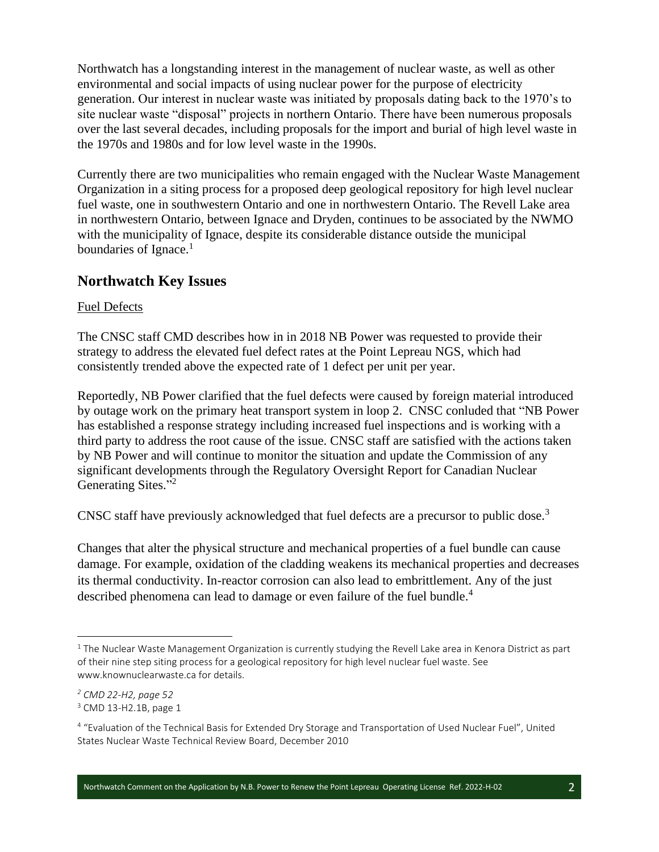Northwatch has a longstanding interest in the management of nuclear waste, as well as other environmental and social impacts of using nuclear power for the purpose of electricity generation. Our interest in nuclear waste was initiated by proposals dating back to the 1970's to site nuclear waste "disposal" projects in northern Ontario. There have been numerous proposals over the last several decades, including proposals for the import and burial of high level waste in the 1970s and 1980s and for low level waste in the 1990s.

Currently there are two municipalities who remain engaged with the Nuclear Waste Management Organization in a siting process for a proposed deep geological repository for high level nuclear fuel waste, one in southwestern Ontario and one in northwestern Ontario. The Revell Lake area in northwestern Ontario, between Ignace and Dryden, continues to be associated by the NWMO with the municipality of Ignace, despite its considerable distance outside the municipal boundaries of Ignace.<sup>1</sup>

## **Northwatch Key Issues**

#### Fuel Defects

The CNSC staff CMD describes how in in 2018 NB Power was requested to provide their strategy to address the elevated fuel defect rates at the Point Lepreau NGS, which had consistently trended above the expected rate of 1 defect per unit per year.

Reportedly, NB Power clarified that the fuel defects were caused by foreign material introduced by outage work on the primary heat transport system in loop 2. CNSC conluded that "NB Power has established a response strategy including increased fuel inspections and is working with a third party to address the root cause of the issue. CNSC staff are satisfied with the actions taken by NB Power and will continue to monitor the situation and update the Commission of any significant developments through the Regulatory Oversight Report for Canadian Nuclear Generating Sites."<sup>2</sup>

CNSC staff have previously acknowledged that fuel defects are a precursor to public dose.<sup>3</sup>

Changes that alter the physical structure and mechanical properties of a fuel bundle can cause damage. For example, oxidation of the cladding weakens its mechanical properties and decreases its thermal conductivity. In-reactor corrosion can also lead to embrittlement. Any of the just described phenomena can lead to damage or even failure of the fuel bundle.<sup>4</sup>

 $1$  The Nuclear Waste Management Organization is currently studying the Revell Lake area in Kenora District as part of their nine step siting process for a geological repository for high level nuclear fuel waste. See www.knownuclearwaste.ca for details.

*<sup>2</sup> CMD 22-H2, page 52*

<sup>3</sup> CMD 13-H2.1B, page 1

<sup>&</sup>lt;sup>4</sup> "Evaluation of the Technical Basis for Extended Dry Storage and Transportation of Used Nuclear Fuel", United States Nuclear Waste Technical Review Board, December 2010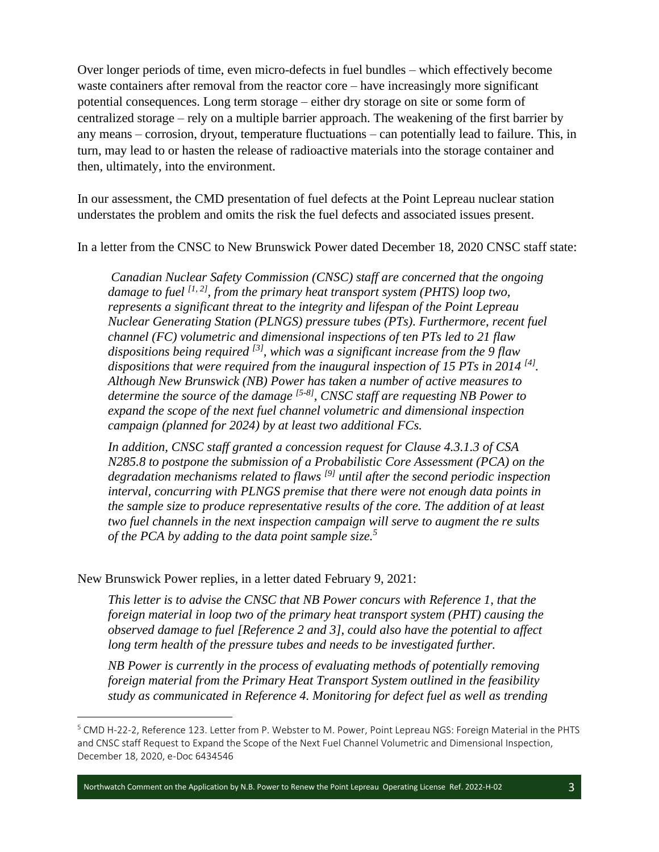Over longer periods of time, even micro-defects in fuel bundles – which effectively become waste containers after removal from the reactor core – have increasingly more significant potential consequences. Long term storage – either dry storage on site or some form of centralized storage – rely on a multiple barrier approach. The weakening of the first barrier by any means – corrosion, dryout, temperature fluctuations – can potentially lead to failure. This, in turn, may lead to or hasten the release of radioactive materials into the storage container and then, ultimately, into the environment.

In our assessment, the CMD presentation of fuel defects at the Point Lepreau nuclear station understates the problem and omits the risk the fuel defects and associated issues present.

In a letter from the CNSC to New Brunswick Power dated December 18, 2020 CNSC staff state:

*Canadian Nuclear Safety Commission (CNSC) staff are concerned that the ongoing damage to fuel [1, 2], from the primary heat transport system (PHTS) loop two, represents a significant threat to the integrity and lifespan of the Point Lepreau Nuclear Generating Station (PLNGS) pressure tubes (PTs). Furthermore, recent fuel channel (FC) volumetric and dimensional inspections of ten PTs led to 21 flaw dispositions being required [3], which was a significant increase from the 9 flaw*  dispositions that were required from the inaugural inspection of 15 PTs in 2014 <sup>[4]</sup>. *Although New Brunswick (NB) Power has taken a number of active measures to determine the source of the damage [5-8], CNSC staff are requesting NB Power to expand the scope of the next fuel channel volumetric and dimensional inspection campaign (planned for 2024) by at least two additional FCs.* 

*In addition, CNSC staff granted a concession request for Clause 4.3.1.3 of CSA N285.8 to postpone the submission of a Probabilistic Core Assessment (PCA) on the degradation mechanisms related to flaws [9] until after the second periodic inspection interval, concurring with PLNGS premise that there were not enough data points in the sample size to produce representative results of the core. The addition of at least two fuel channels in the next inspection campaign will serve to augment the re sults of the PCA by adding to the data point sample size.<sup>5</sup>*

New Brunswick Power replies, in a letter dated February 9, 2021:

*This letter is to advise the CNSC that NB Power concurs with Reference 1, that the foreign material in loop two of the primary heat transport system (PHT) causing the observed damage to fuel [Reference 2 and 3], could also have the potential to affect long term health of the pressure tubes and needs to be investigated further.*

*NB Power is currently in the process of evaluating methods of potentially removing foreign material from the Primary Heat Transport System outlined in the feasibility study as communicated in Reference 4. Monitoring for defect fuel as well as trending* 

Northwatch Comment on the Application by N.B. Power to Renew the Point Lepreau Operating License Ref. 2022-H-02

<sup>5</sup> CMD H-22-2, Reference 123. Letter from P. Webster to M. Power, Point Lepreau NGS: Foreign Material in the PHTS and CNSC staff Request to Expand the Scope of the Next Fuel Channel Volumetric and Dimensional Inspection, December 18, 2020, e-Doc 6434546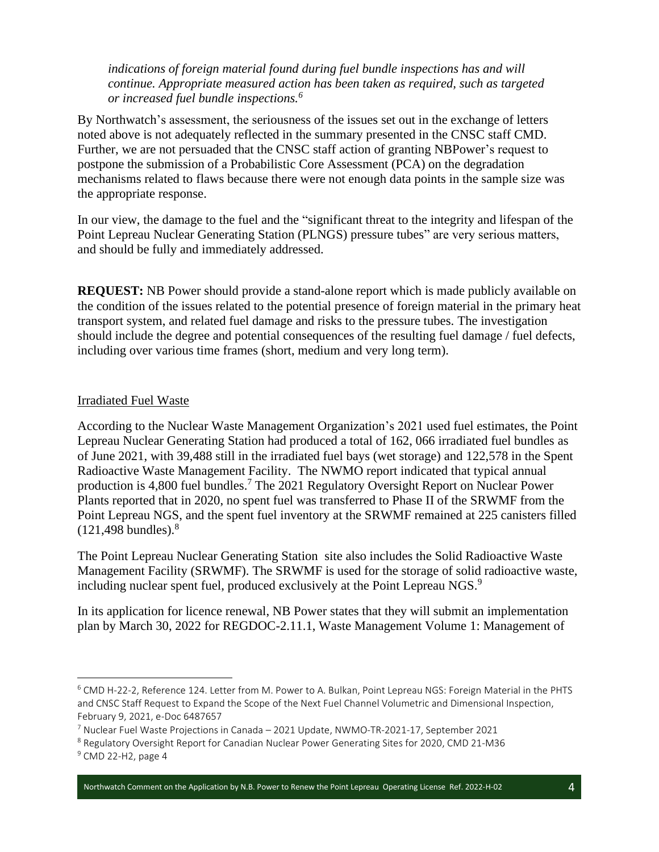*indications of foreign material found during fuel bundle inspections has and will continue. Appropriate measured action has been taken as required, such as targeted or increased fuel bundle inspections.<sup>6</sup>*

By Northwatch's assessment, the seriousness of the issues set out in the exchange of letters noted above is not adequately reflected in the summary presented in the CNSC staff CMD. Further, we are not persuaded that the CNSC staff action of granting NBPower's request to postpone the submission of a Probabilistic Core Assessment (PCA) on the degradation mechanisms related to flaws because there were not enough data points in the sample size was the appropriate response.

In our view, the damage to the fuel and the "significant threat to the integrity and lifespan of the Point Lepreau Nuclear Generating Station (PLNGS) pressure tubes" are very serious matters, and should be fully and immediately addressed.

**REQUEST:** NB Power should provide a stand-alone report which is made publicly available on the condition of the issues related to the potential presence of foreign material in the primary heat transport system, and related fuel damage and risks to the pressure tubes. The investigation should include the degree and potential consequences of the resulting fuel damage / fuel defects, including over various time frames (short, medium and very long term).

#### Irradiated Fuel Waste

According to the Nuclear Waste Management Organization's 2021 used fuel estimates, the Point Lepreau Nuclear Generating Station had produced a total of 162, 066 irradiated fuel bundles as of June 2021, with 39,488 still in the irradiated fuel bays (wet storage) and 122,578 in the Spent Radioactive Waste Management Facility. The NWMO report indicated that typical annual production is 4,800 fuel bundles.<sup>7</sup> The 2021 Regulatory Oversight Report on Nuclear Power Plants reported that in 2020, no spent fuel was transferred to Phase II of the SRWMF from the Point Lepreau NGS, and the spent fuel inventory at the SRWMF remained at 225 canisters filled  $(121, 498$  bundles).<sup>8</sup>

The Point Lepreau Nuclear Generating Station site also includes the Solid Radioactive Waste Management Facility (SRWMF). The SRWMF is used for the storage of solid radioactive waste, including nuclear spent fuel, produced exclusively at the Point Lepreau NGS.<sup>9</sup>

In its application for licence renewal, NB Power states that they will submit an implementation plan by March 30, 2022 for REGDOC-2.11.1, Waste Management Volume 1: Management of

Northwatch Comment on the Application by N.B. Power to Renew the Point Lepreau Operating License Ref. 2022-H-02 4

<sup>6</sup> CMD H-22-2, Reference 124. Letter from M. Power to A. Bulkan, Point Lepreau NGS: Foreign Material in the PHTS and CNSC Staff Request to Expand the Scope of the Next Fuel Channel Volumetric and Dimensional Inspection, February 9, 2021, e-Doc 6487657

<sup>7</sup> Nuclear Fuel Waste Projections in Canada – 2021 Update, NWMO-TR-2021-17, September 2021

<sup>8</sup> Regulatory Oversight Report for Canadian Nuclear Power Generating Sites for 2020, CMD 21-M36

<sup>9</sup> CMD 22-H2, page 4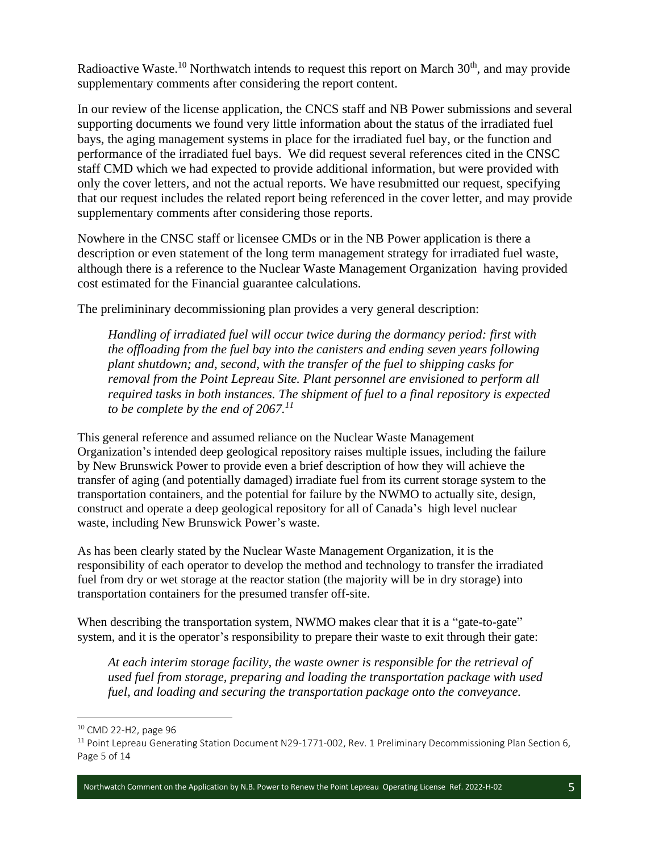Radioactive Waste.<sup>10</sup> Northwatch intends to request this report on March  $30<sup>th</sup>$ , and may provide supplementary comments after considering the report content.

In our review of the license application, the CNCS staff and NB Power submissions and several supporting documents we found very little information about the status of the irradiated fuel bays, the aging management systems in place for the irradiated fuel bay, or the function and performance of the irradiated fuel bays. We did request several references cited in the CNSC staff CMD which we had expected to provide additional information, but were provided with only the cover letters, and not the actual reports. We have resubmitted our request, specifying that our request includes the related report being referenced in the cover letter, and may provide supplementary comments after considering those reports.

Nowhere in the CNSC staff or licensee CMDs or in the NB Power application is there a description or even statement of the long term management strategy for irradiated fuel waste, although there is a reference to the Nuclear Waste Management Organization having provided cost estimated for the Financial guarantee calculations.

The prelimininary decommissioning plan provides a very general description:

*Handling of irradiated fuel will occur twice during the dormancy period: first with the offloading from the fuel bay into the canisters and ending seven years following plant shutdown; and, second, with the transfer of the fuel to shipping casks for removal from the Point Lepreau Site. Plant personnel are envisioned to perform all required tasks in both instances. The shipment of fuel to a final repository is expected to be complete by the end of 2067.<sup>11</sup>*

This general reference and assumed reliance on the Nuclear Waste Management Organization's intended deep geological repository raises multiple issues, including the failure by New Brunswick Power to provide even a brief description of how they will achieve the transfer of aging (and potentially damaged) irradiate fuel from its current storage system to the transportation containers, and the potential for failure by the NWMO to actually site, design, construct and operate a deep geological repository for all of Canada's high level nuclear waste, including New Brunswick Power's waste.

As has been clearly stated by the Nuclear Waste Management Organization, it is the responsibility of each operator to develop the method and technology to transfer the irradiated fuel from dry or wet storage at the reactor station (the majority will be in dry storage) into transportation containers for the presumed transfer off-site.

When describing the transportation system, NWMO makes clear that it is a "gate-to-gate" system, and it is the operator's responsibility to prepare their waste to exit through their gate:

*At each interim storage facility, the waste owner is responsible for the retrieval of used fuel from storage, preparing and loading the transportation package with used fuel, and loading and securing the transportation package onto the conveyance.* 

<sup>10</sup> CMD 22-H2, page 96

<sup>&</sup>lt;sup>11</sup> Point Lepreau Generating Station Document N29-1771-002, Rev. 1 Preliminary Decommissioning Plan Section 6, Page 5 of 14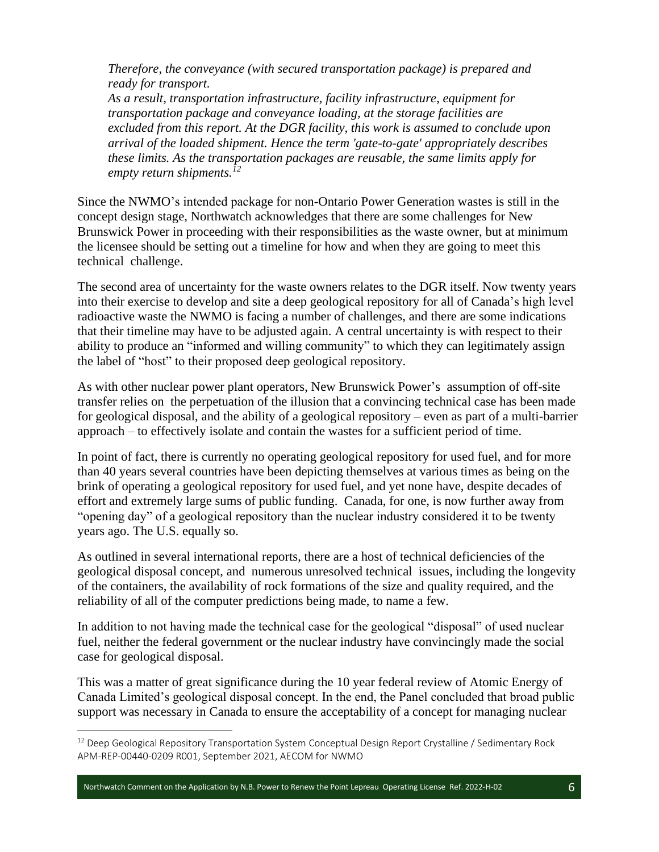*Therefore, the conveyance (with secured transportation package) is prepared and ready for transport.*

*As a result, transportation infrastructure, facility infrastructure, equipment for transportation package and conveyance loading, at the storage facilities are excluded from this report. At the DGR facility, this work is assumed to conclude upon arrival of the loaded shipment. Hence the term 'gate-to-gate' appropriately describes these limits. As the transportation packages are reusable, the same limits apply for empty return shipments.<sup>12</sup>*

Since the NWMO's intended package for non-Ontario Power Generation wastes is still in the concept design stage, Northwatch acknowledges that there are some challenges for New Brunswick Power in proceeding with their responsibilities as the waste owner, but at minimum the licensee should be setting out a timeline for how and when they are going to meet this technical challenge.

The second area of uncertainty for the waste owners relates to the DGR itself. Now twenty years into their exercise to develop and site a deep geological repository for all of Canada's high level radioactive waste the NWMO is facing a number of challenges, and there are some indications that their timeline may have to be adjusted again. A central uncertainty is with respect to their ability to produce an "informed and willing community" to which they can legitimately assign the label of "host" to their proposed deep geological repository.

As with other nuclear power plant operators, New Brunswick Power's assumption of off-site transfer relies on the perpetuation of the illusion that a convincing technical case has been made for geological disposal, and the ability of a geological repository – even as part of a multi-barrier approach – to effectively isolate and contain the wastes for a sufficient period of time.

In point of fact, there is currently no operating geological repository for used fuel, and for more than 40 years several countries have been depicting themselves at various times as being on the brink of operating a geological repository for used fuel, and yet none have, despite decades of effort and extremely large sums of public funding. Canada, for one, is now further away from "opening day" of a geological repository than the nuclear industry considered it to be twenty years ago. The U.S. equally so.

As outlined in several international reports, there are a host of technical deficiencies of the geological disposal concept, and numerous unresolved technical issues, including the longevity of the containers, the availability of rock formations of the size and quality required, and the reliability of all of the computer predictions being made, to name a few.

In addition to not having made the technical case for the geological "disposal" of used nuclear fuel, neither the federal government or the nuclear industry have convincingly made the social case for geological disposal.

This was a matter of great significance during the 10 year federal review of Atomic Energy of Canada Limited's geological disposal concept. In the end, the Panel concluded that broad public support was necessary in Canada to ensure the acceptability of a concept for managing nuclear

Northwatch Comment on the Application by N.B. Power to Renew the Point Lepreau Operating License Ref. 2022-H-02 6

<sup>&</sup>lt;sup>12</sup> Deep Geological Repository Transportation System Conceptual Design Report Crystalline / Sedimentary Rock APM-REP-00440-0209 R001, September 2021, AECOM for NWMO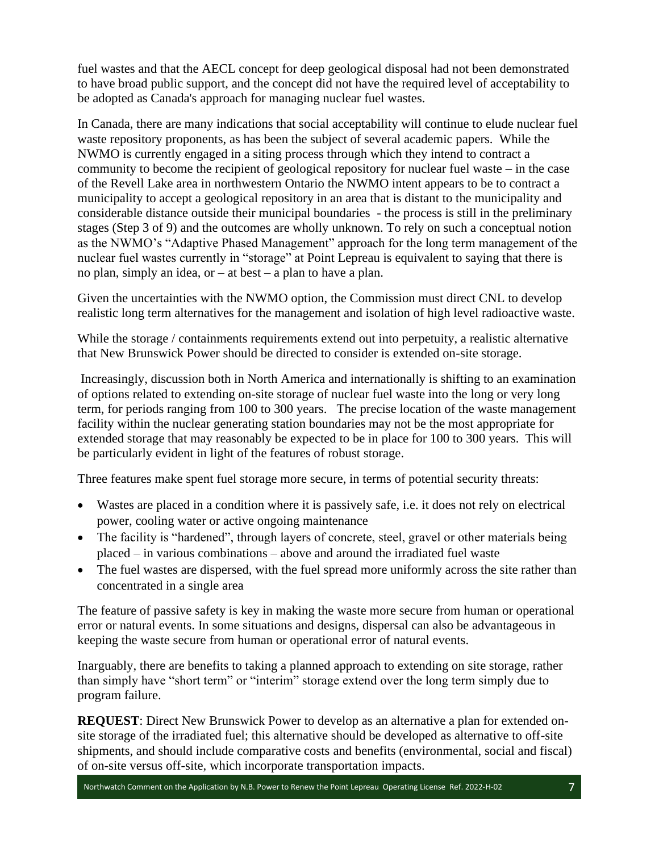fuel wastes and that the AECL concept for deep geological disposal had not been demonstrated to have broad public support, and the concept did not have the required level of acceptability to be adopted as Canada's approach for managing nuclear fuel wastes.

In Canada, there are many indications that social acceptability will continue to elude nuclear fuel waste repository proponents, as has been the subject of several academic papers. While the NWMO is currently engaged in a siting process through which they intend to contract a community to become the recipient of geological repository for nuclear fuel waste – in the case of the Revell Lake area in northwestern Ontario the NWMO intent appears to be to contract a municipality to accept a geological repository in an area that is distant to the municipality and considerable distance outside their municipal boundaries - the process is still in the preliminary stages (Step 3 of 9) and the outcomes are wholly unknown. To rely on such a conceptual notion as the NWMO's "Adaptive Phased Management" approach for the long term management of the nuclear fuel wastes currently in "storage" at Point Lepreau is equivalent to saying that there is no plan, simply an idea, or  $-$  at best  $-$  a plan to have a plan.

Given the uncertainties with the NWMO option, the Commission must direct CNL to develop realistic long term alternatives for the management and isolation of high level radioactive waste.

While the storage / containments requirements extend out into perpetuity, a realistic alternative that New Brunswick Power should be directed to consider is extended on-site storage.

Increasingly, discussion both in North America and internationally is shifting to an examination of options related to extending on-site storage of nuclear fuel waste into the long or very long term, for periods ranging from 100 to 300 years. The precise location of the waste management facility within the nuclear generating station boundaries may not be the most appropriate for extended storage that may reasonably be expected to be in place for 100 to 300 years. This will be particularly evident in light of the features of robust storage.

Three features make spent fuel storage more secure, in terms of potential security threats:

- Wastes are placed in a condition where it is passively safe, i.e. it does not rely on electrical power, cooling water or active ongoing maintenance
- The facility is "hardened", through layers of concrete, steel, gravel or other materials being placed – in various combinations – above and around the irradiated fuel waste
- The fuel wastes are dispersed, with the fuel spread more uniformly across the site rather than concentrated in a single area

The feature of passive safety is key in making the waste more secure from human or operational error or natural events. In some situations and designs, dispersal can also be advantageous in keeping the waste secure from human or operational error of natural events.

Inarguably, there are benefits to taking a planned approach to extending on site storage, rather than simply have "short term" or "interim" storage extend over the long term simply due to program failure.

**REQUEST**: Direct New Brunswick Power to develop as an alternative a plan for extended onsite storage of the irradiated fuel; this alternative should be developed as alternative to off-site shipments, and should include comparative costs and benefits (environmental, social and fiscal) of on-site versus off-site, which incorporate transportation impacts.

Northwatch Comment on the Application by N.B. Power to Renew the Point Lepreau Operating License Ref. 2022-H-02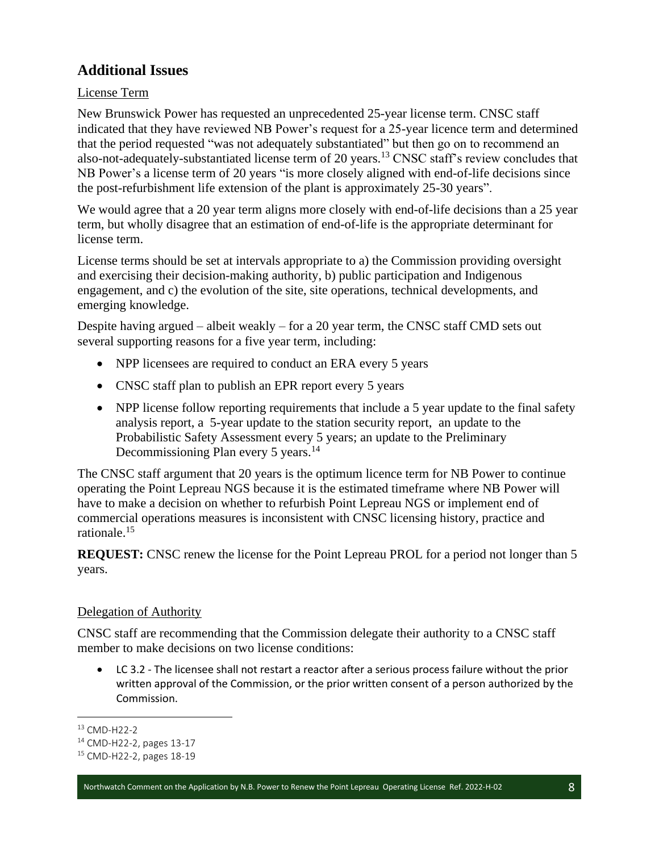# **Additional Issues**

### License Term

New Brunswick Power has requested an unprecedented 25-year license term. CNSC staff indicated that they have reviewed NB Power's request for a 25-year licence term and determined that the period requested "was not adequately substantiated" but then go on to recommend an also-not-adequately-substantiated license term of 20 years.<sup>13</sup> CNSC staff's review concludes that NB Power's a license term of 20 years "is more closely aligned with end-of-life decisions since the post-refurbishment life extension of the plant is approximately 25-30 years".

We would agree that a 20 year term aligns more closely with end-of-life decisions than a 25 year term, but wholly disagree that an estimation of end-of-life is the appropriate determinant for license term.

License terms should be set at intervals appropriate to a) the Commission providing oversight and exercising their decision-making authority, b) public participation and Indigenous engagement, and c) the evolution of the site, site operations, technical developments, and emerging knowledge.

Despite having argued – albeit weakly – for a 20 year term, the CNSC staff CMD sets out several supporting reasons for a five year term, including:

- NPP licensees are required to conduct an ERA every 5 years
- CNSC staff plan to publish an EPR report every 5 years
- NPP license follow reporting requirements that include a 5 year update to the final safety analysis report, a 5-year update to the station security report, an update to the Probabilistic Safety Assessment every 5 years; an update to the Preliminary Decommissioning Plan every 5 years.<sup>14</sup>

The CNSC staff argument that 20 years is the optimum licence term for NB Power to continue operating the Point Lepreau NGS because it is the estimated timeframe where NB Power will have to make a decision on whether to refurbish Point Lepreau NGS or implement end of commercial operations measures is inconsistent with CNSC licensing history, practice and rationale.<sup>15</sup>

**REQUEST:** CNSC renew the license for the Point Lepreau PROL for a period not longer than 5 years.

#### Delegation of Authority

CNSC staff are recommending that the Commission delegate their authority to a CNSC staff member to make decisions on two license conditions:

• LC 3.2 - The licensee shall not restart a reactor after a serious process failure without the prior written approval of the Commission, or the prior written consent of a person authorized by the Commission.

<sup>13</sup> CMD-H22-2

<sup>14</sup> CMD-H22-2, pages 13-17

<sup>15</sup> CMD-H22-2, pages 18-19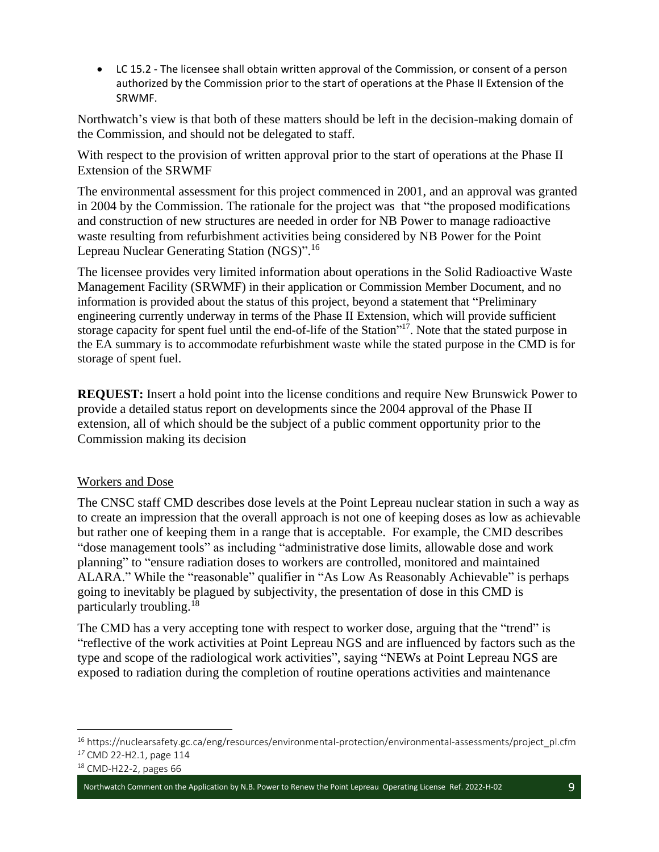• LC 15.2 - The licensee shall obtain written approval of the Commission, or consent of a person authorized by the Commission prior to the start of operations at the Phase II Extension of the SRWMF.

Northwatch's view is that both of these matters should be left in the decision-making domain of the Commission, and should not be delegated to staff.

With respect to the provision of written approval prior to the start of operations at the Phase II Extension of the SRWMF

The environmental assessment for this project commenced in 2001, and an approval was granted in 2004 by the Commission. The rationale for the project was that "the proposed modifications and construction of new structures are needed in order for NB Power to manage radioactive waste resulting from refurbishment activities being considered by NB Power for the Point Lepreau Nuclear Generating Station (NGS)".<sup>16</sup>

The licensee provides very limited information about operations in the Solid Radioactive Waste Management Facility (SRWMF) in their application or Commission Member Document, and no information is provided about the status of this project, beyond a statement that "Preliminary engineering currently underway in terms of the Phase II Extension, which will provide sufficient storage capacity for spent fuel until the end-of-life of the Station"<sup>17</sup>. Note that the stated purpose in the EA summary is to accommodate refurbishment waste while the stated purpose in the CMD is for storage of spent fuel.

**REQUEST:** Insert a hold point into the license conditions and require New Brunswick Power to provide a detailed status report on developments since the 2004 approval of the Phase II extension, all of which should be the subject of a public comment opportunity prior to the Commission making its decision

#### Workers and Dose

The CNSC staff CMD describes dose levels at the Point Lepreau nuclear station in such a way as to create an impression that the overall approach is not one of keeping doses as low as achievable but rather one of keeping them in a range that is acceptable. For example, the CMD describes "dose management tools" as including "administrative dose limits, allowable dose and work planning" to "ensure radiation doses to workers are controlled, monitored and maintained ALARA." While the "reasonable" qualifier in "As Low As Reasonably Achievable" is perhaps going to inevitably be plagued by subjectivity, the presentation of dose in this CMD is particularly troubling.<sup>18</sup>

The CMD has a very accepting tone with respect to worker dose, arguing that the "trend" is "reflective of the work activities at Point Lepreau NGS and are influenced by factors such as the type and scope of the radiological work activities", saying "NEWs at Point Lepreau NGS are exposed to radiation during the completion of routine operations activities and maintenance

<sup>16</sup> https://nuclearsafety.gc.ca/eng/resources/environmental-protection/environmental-assessments/project\_pl.cfm *<sup>17</sup>* CMD 22-H2.1, page 114

<sup>18</sup> CMD-H22-2, pages 66

Northwatch Comment on the Application by N.B. Power to Renew the Point Lepreau Operating License Ref. 2022-H-02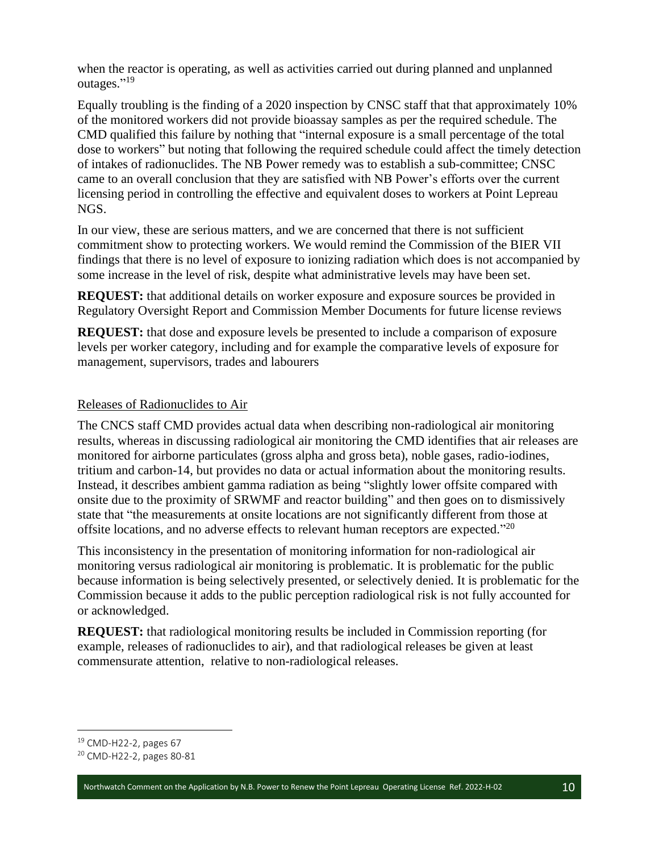when the reactor is operating, as well as activities carried out during planned and unplanned outages."<sup>19</sup>

Equally troubling is the finding of a 2020 inspection by CNSC staff that that approximately 10% of the monitored workers did not provide bioassay samples as per the required schedule. The CMD qualified this failure by nothing that "internal exposure is a small percentage of the total dose to workers" but noting that following the required schedule could affect the timely detection of intakes of radionuclides. The NB Power remedy was to establish a sub-committee; CNSC came to an overall conclusion that they are satisfied with NB Power's efforts over the current licensing period in controlling the effective and equivalent doses to workers at Point Lepreau NGS.

In our view, these are serious matters, and we are concerned that there is not sufficient commitment show to protecting workers. We would remind the Commission of the BIER VII findings that there is no level of exposure to ionizing radiation which does is not accompanied by some increase in the level of risk, despite what administrative levels may have been set.

**REQUEST:** that additional details on worker exposure and exposure sources be provided in Regulatory Oversight Report and Commission Member Documents for future license reviews

**REQUEST:** that dose and exposure levels be presented to include a comparison of exposure levels per worker category, including and for example the comparative levels of exposure for management, supervisors, trades and labourers

#### Releases of Radionuclides to Air

The CNCS staff CMD provides actual data when describing non-radiological air monitoring results, whereas in discussing radiological air monitoring the CMD identifies that air releases are monitored for airborne particulates (gross alpha and gross beta), noble gases, radio-iodines, tritium and carbon-14, but provides no data or actual information about the monitoring results. Instead, it describes ambient gamma radiation as being "slightly lower offsite compared with onsite due to the proximity of SRWMF and reactor building" and then goes on to dismissively state that "the measurements at onsite locations are not significantly different from those at offsite locations, and no adverse effects to relevant human receptors are expected."<sup>20</sup>

This inconsistency in the presentation of monitoring information for non-radiological air monitoring versus radiological air monitoring is problematic. It is problematic for the public because information is being selectively presented, or selectively denied. It is problematic for the Commission because it adds to the public perception radiological risk is not fully accounted for or acknowledged.

**REQUEST:** that radiological monitoring results be included in Commission reporting (for example, releases of radionuclides to air), and that radiological releases be given at least commensurate attention, relative to non-radiological releases.

<sup>19</sup> CMD-H22-2, pages 67

<sup>20</sup> CMD-H22-2, pages 80-81